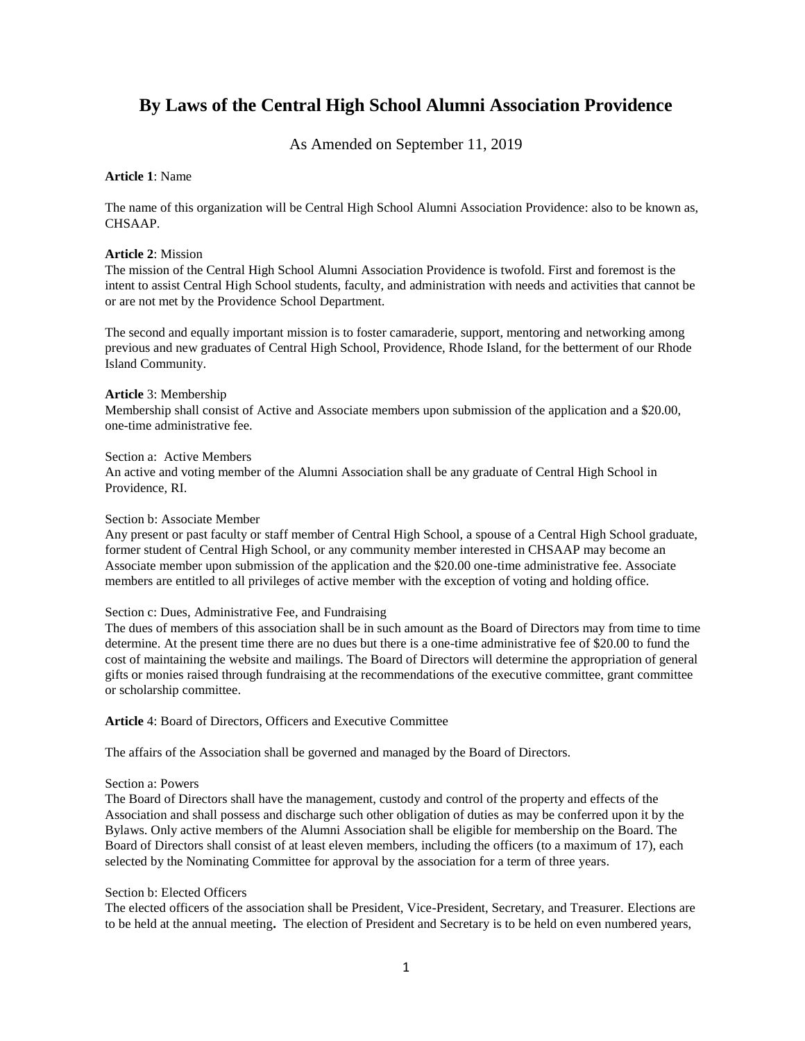# **By Laws of the Central High School Alumni Association Providence**

As Amended on September 11, 2019

## **Article 1**: Name

The name of this organization will be Central High School Alumni Association Providence: also to be known as, CHSAAP.

#### **Article 2**: Mission

The mission of the Central High School Alumni Association Providence is twofold. First and foremost is the intent to assist Central High School students, faculty, and administration with needs and activities that cannot be or are not met by the Providence School Department.

The second and equally important mission is to foster camaraderie, support, mentoring and networking among previous and new graduates of Central High School, Providence, Rhode Island, for the betterment of our Rhode Island Community.

#### **Article** 3: Membership

Membership shall consist of Active and Associate members upon submission of the application and a \$20.00, one-time administrative fee.

#### Section a: Active Members

An active and voting member of the Alumni Association shall be any graduate of Central High School in Providence, RI.

#### Section b: Associate Member

Any present or past faculty or staff member of Central High School, a spouse of a Central High School graduate, former student of Central High School, or any community member interested in CHSAAP may become an Associate member upon submission of the application and the \$20.00 one-time administrative fee. Associate members are entitled to all privileges of active member with the exception of voting and holding office.

## Section c: Dues, Administrative Fee, and Fundraising

The dues of members of this association shall be in such amount as the Board of Directors may from time to time determine. At the present time there are no dues but there is a one-time administrative fee of \$20.00 to fund the cost of maintaining the website and mailings. The Board of Directors will determine the appropriation of general gifts or monies raised through fundraising at the recommendations of the executive committee, grant committee or scholarship committee.

**Article** 4: Board of Directors, Officers and Executive Committee

The affairs of the Association shall be governed and managed by the Board of Directors.

## Section a: Powers

The Board of Directors shall have the management, custody and control of the property and effects of the Association and shall possess and discharge such other obligation of duties as may be conferred upon it by the Bylaws. Only active members of the Alumni Association shall be eligible for membership on the Board. The Board of Directors shall consist of at least eleven members, including the officers (to a maximum of 17), each selected by the Nominating Committee for approval by the association for a term of three years.

## Section b: Elected Officers

The elected officers of the association shall be President, Vice-President, Secretary, and Treasurer. Elections are to be held at the annual meeting**.** The election of President and Secretary is to be held on even numbered years,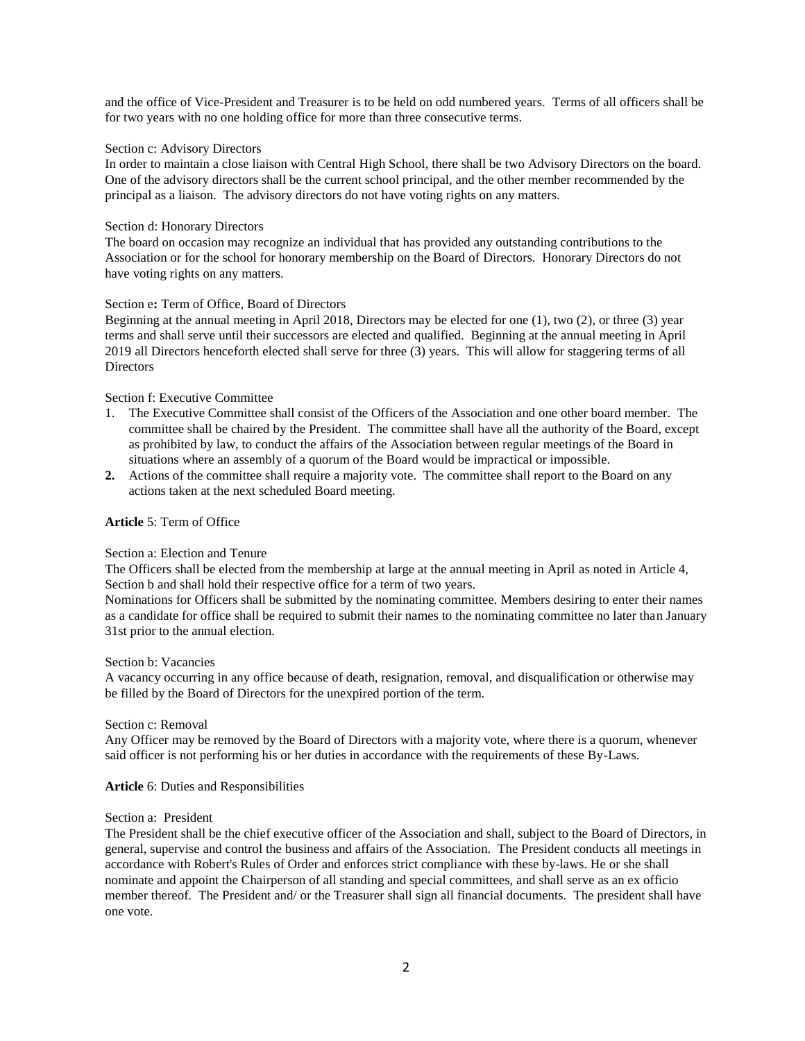and the office of Vice-President and Treasurer is to be held on odd numbered years. Terms of all officers shall be for two years with no one holding office for more than three consecutive terms.

## Section c: Advisory Directors

In order to maintain a close liaison with Central High School, there shall be two Advisory Directors on the board. One of the advisory directors shall be the current school principal, and the other member recommended by the principal as a liaison. The advisory directors do not have voting rights on any matters.

# Section d: Honorary Directors

The board on occasion may recognize an individual that has provided any outstanding contributions to the Association or for the school for honorary membership on the Board of Directors. Honorary Directors do not have voting rights on any matters.

# Section e**:** Term of Office, Board of Directors

Beginning at the annual meeting in April 2018, Directors may be elected for one (1), two (2), or three (3) year terms and shall serve until their successors are elected and qualified. Beginning at the annual meeting in April 2019 all Directors henceforth elected shall serve for three (3) years. This will allow for staggering terms of all **Directors** 

# Section f: Executive Committee

- 1. The Executive Committee shall consist of the Officers of the Association and one other board member. The committee shall be chaired by the President. The committee shall have all the authority of the Board, except as prohibited by law, to conduct the affairs of the Association between regular meetings of the Board in situations where an assembly of a quorum of the Board would be impractical or impossible.
- **2.** Actions of the committee shall require a majority vote. The committee shall report to the Board on any actions taken at the next scheduled Board meeting.

## **Article** 5: Term of Office

## Section a: Election and Tenure

The Officers shall be elected from the membership at large at the annual meeting in April as noted in Article 4, Section b and shall hold their respective office for a term of two years.

Nominations for Officers shall be submitted by the nominating committee. Members desiring to enter their names as a candidate for office shall be required to submit their names to the nominating committee no later than January 31st prior to the annual election.

## Section b: Vacancies

A vacancy occurring in any office because of death, resignation, removal, and disqualification or otherwise may be filled by the Board of Directors for the unexpired portion of the term.

## Section c: Removal

Any Officer may be removed by the Board of Directors with a majority vote, where there is a quorum, whenever said officer is not performing his or her duties in accordance with the requirements of these By-Laws.

**Article** 6: Duties and Responsibilities

# Section a: President

The President shall be the chief executive officer of the Association and shall, subject to the Board of Directors, in general, supervise and control the business and affairs of the Association. The President conducts all meetings in accordance with Robert's Rules of Order and enforces strict compliance with these by-laws. He or she shall nominate and appoint the Chairperson of all standing and special committees, and shall serve as an ex officio member thereof. The President and/ or the Treasurer shall sign all financial documents. The president shall have one vote.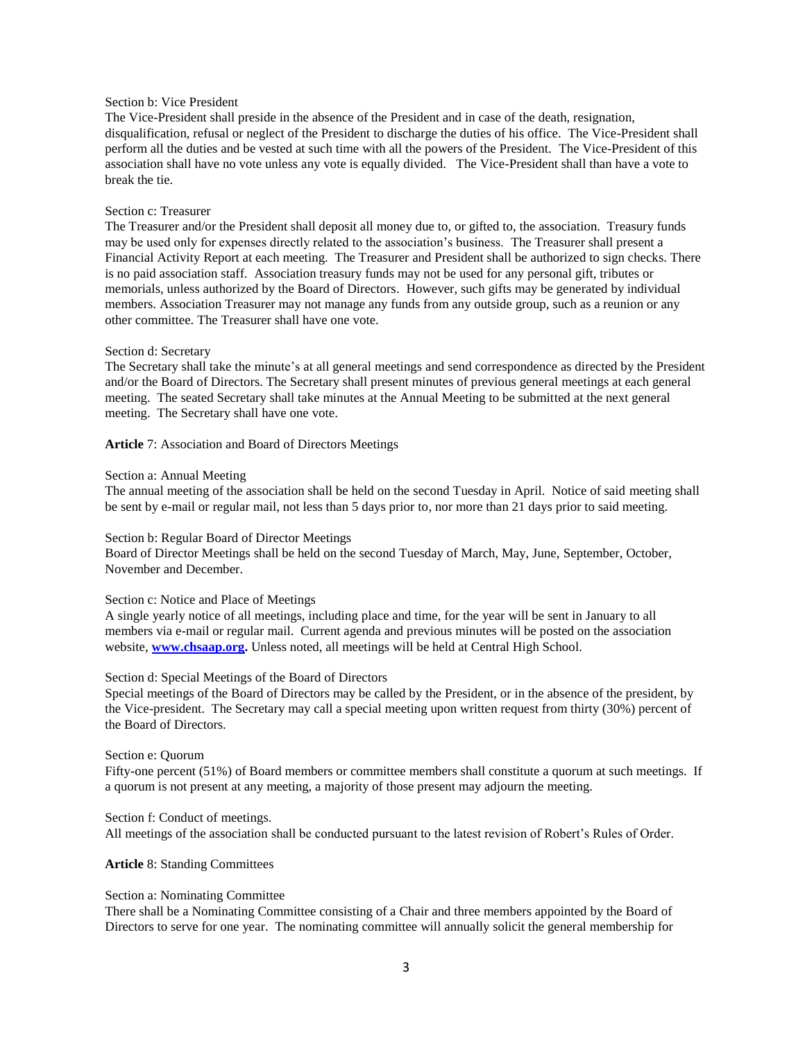# Section b: Vice President

The Vice-President shall preside in the absence of the President and in case of the death, resignation, disqualification, refusal or neglect of the President to discharge the duties of his office. The Vice-President shall perform all the duties and be vested at such time with all the powers of the President. The Vice-President of this association shall have no vote unless any vote is equally divided. The Vice-President shall than have a vote to break the tie.

#### Section c: Treasurer

The Treasurer and/or the President shall deposit all money due to, or gifted to, the association. Treasury funds may be used only for expenses directly related to the association's business. The Treasurer shall present a Financial Activity Report at each meeting. The Treasurer and President shall be authorized to sign checks. There is no paid association staff. Association treasury funds may not be used for any personal gift, tributes or memorials, unless authorized by the Board of Directors. However, such gifts may be generated by individual members. Association Treasurer may not manage any funds from any outside group, such as a reunion or any other committee. The Treasurer shall have one vote.

#### Section d: Secretary

The Secretary shall take the minute's at all general meetings and send correspondence as directed by the President and/or the Board of Directors. The Secretary shall present minutes of previous general meetings at each general meeting. The seated Secretary shall take minutes at the Annual Meeting to be submitted at the next general meeting. The Secretary shall have one vote.

**Article** 7: Association and Board of Directors Meetings

#### Section a: Annual Meeting

The annual meeting of the association shall be held on the second Tuesday in April. Notice of said meeting shall be sent by e-mail or regular mail, not less than 5 days prior to, nor more than 21 days prior to said meeting.

## Section b: Regular Board of Director Meetings

Board of Director Meetings shall be held on the second Tuesday of March, May, June, September, October, November and December.

## Section c: Notice and Place of Meetings

A single yearly notice of all meetings, including place and time, for the year will be sent in January to all members via e-mail or regular mail. Current agenda and previous minutes will be posted on the association website, **[www.chsaap.org.](http://www.chsaap.org/)** Unless noted, all meetings will be held at Central High School.

## Section d: Special Meetings of the Board of Directors

Special meetings of the Board of Directors may be called by the President, or in the absence of the president, by the Vice-president. The Secretary may call a special meeting upon written request from thirty (30%) percent of the Board of Directors.

## Section e: Quorum

Fifty-one percent (51%) of Board members or committee members shall constitute a quorum at such meetings. If a quorum is not present at any meeting, a majority of those present may adjourn the meeting.

Section f: Conduct of meetings. All meetings of the association shall be conducted pursuant to the latest revision of Robert's Rules of Order.

## **Article** 8: Standing Committees

#### Section a: Nominating Committee

There shall be a Nominating Committee consisting of a Chair and three members appointed by the Board of Directors to serve for one year. The nominating committee will annually solicit the general membership for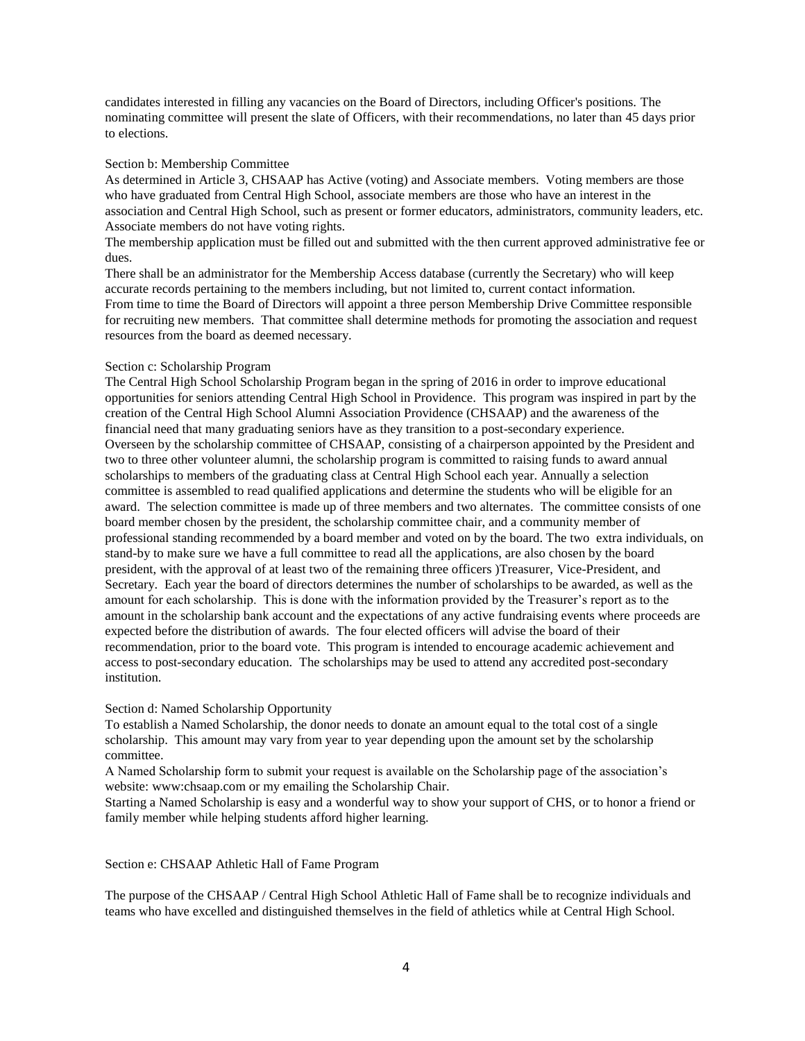candidates interested in filling any vacancies on the Board of Directors, including Officer's positions. The nominating committee will present the slate of Officers, with their recommendations, no later than 45 days prior to elections.

#### Section b: Membership Committee

As determined in Article 3, CHSAAP has Active (voting) and Associate members. Voting members are those who have graduated from Central High School, associate members are those who have an interest in the association and Central High School, such as present or former educators, administrators, community leaders, etc. Associate members do not have voting rights.

The membership application must be filled out and submitted with the then current approved administrative fee or dues.

There shall be an administrator for the Membership Access database (currently the Secretary) who will keep accurate records pertaining to the members including, but not limited to, current contact information. From time to time the Board of Directors will appoint a three person Membership Drive Committee responsible for recruiting new members. That committee shall determine methods for promoting the association and request resources from the board as deemed necessary.

#### Section c: Scholarship Program

The Central High School Scholarship Program began in the spring of 2016 in order to improve educational opportunities for seniors attending Central High School in Providence. This program was inspired in part by the creation of the Central High School Alumni Association Providence (CHSAAP) and the awareness of the financial need that many graduating seniors have as they transition to a post-secondary experience. Overseen by the scholarship committee of CHSAAP, consisting of a chairperson appointed by the President and two to three other volunteer alumni, the scholarship program is committed to raising funds to award annual scholarships to members of the graduating class at Central High School each year. Annually a selection committee is assembled to read qualified applications and determine the students who will be eligible for an award. The selection committee is made up of three members and two alternates. The committee consists of one board member chosen by the president, the scholarship committee chair, and a community member of professional standing recommended by a board member and voted on by the board. The two extra individuals, on stand-by to make sure we have a full committee to read all the applications, are also chosen by the board president, with the approval of at least two of the remaining three officers )Treasurer, Vice-President, and Secretary. Each year the board of directors determines the number of scholarships to be awarded, as well as the amount for each scholarship. This is done with the information provided by the Treasurer's report as to the amount in the scholarship bank account and the expectations of any active fundraising events where proceeds are expected before the distribution of awards. The four elected officers will advise the board of their recommendation, prior to the board vote. This program is intended to encourage academic achievement and access to post-secondary education. The scholarships may be used to attend any accredited post-secondary institution.

## Section d: Named Scholarship Opportunity

To establish a Named Scholarship, the donor needs to donate an amount equal to the total cost of a single scholarship. This amount may vary from year to year depending upon the amount set by the scholarship committee.

A Named Scholarship form to submit your request is available on the Scholarship page of the association's website: www:chsaap.com or my emailing the Scholarship Chair.

Starting a Named Scholarship is easy and a wonderful way to show your support of CHS, or to honor a friend or family member while helping students afford higher learning.

## Section e: CHSAAP Athletic Hall of Fame Program

The purpose of the CHSAAP / Central High School Athletic Hall of Fame shall be to recognize individuals and teams who have excelled and distinguished themselves in the field of athletics while at Central High School.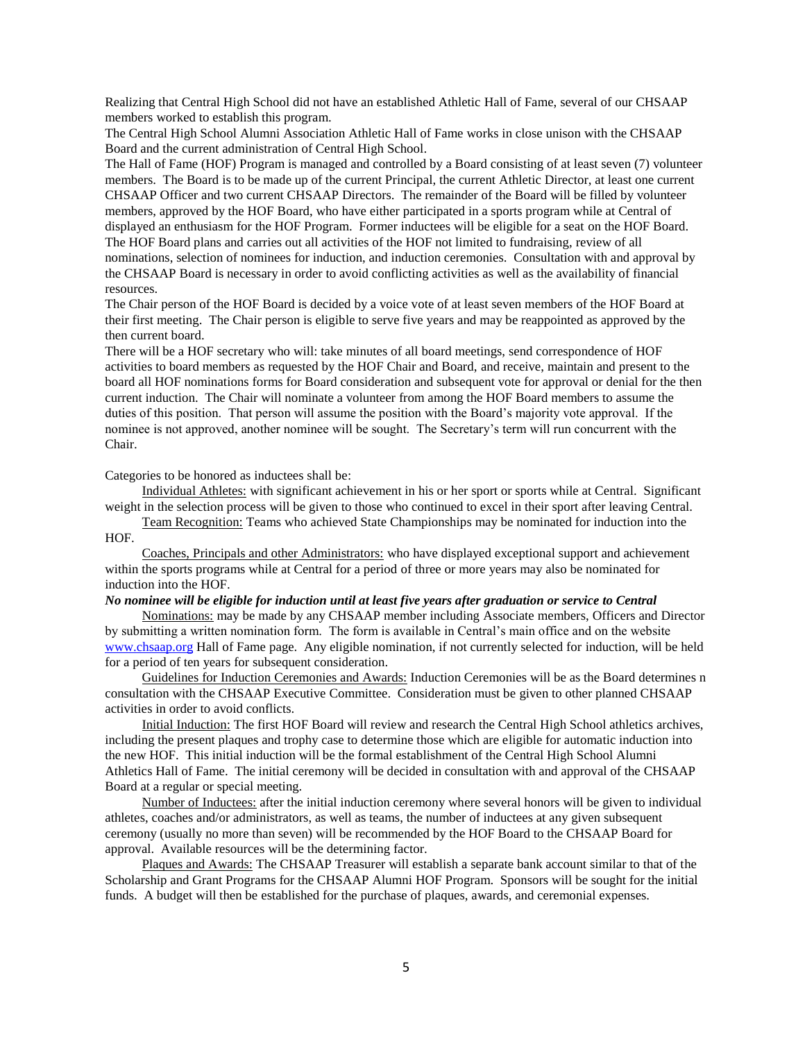Realizing that Central High School did not have an established Athletic Hall of Fame, several of our CHSAAP members worked to establish this program.

The Central High School Alumni Association Athletic Hall of Fame works in close unison with the CHSAAP Board and the current administration of Central High School.

The Hall of Fame (HOF) Program is managed and controlled by a Board consisting of at least seven (7) volunteer members. The Board is to be made up of the current Principal, the current Athletic Director, at least one current CHSAAP Officer and two current CHSAAP Directors. The remainder of the Board will be filled by volunteer members, approved by the HOF Board, who have either participated in a sports program while at Central of displayed an enthusiasm for the HOF Program. Former inductees will be eligible for a seat on the HOF Board. The HOF Board plans and carries out all activities of the HOF not limited to fundraising, review of all nominations, selection of nominees for induction, and induction ceremonies. Consultation with and approval by the CHSAAP Board is necessary in order to avoid conflicting activities as well as the availability of financial resources.

The Chair person of the HOF Board is decided by a voice vote of at least seven members of the HOF Board at their first meeting. The Chair person is eligible to serve five years and may be reappointed as approved by the then current board.

There will be a HOF secretary who will: take minutes of all board meetings, send correspondence of HOF activities to board members as requested by the HOF Chair and Board, and receive, maintain and present to the board all HOF nominations forms for Board consideration and subsequent vote for approval or denial for the then current induction. The Chair will nominate a volunteer from among the HOF Board members to assume the duties of this position. That person will assume the position with the Board's majority vote approval. If the nominee is not approved, another nominee will be sought. The Secretary's term will run concurrent with the Chair.

Categories to be honored as inductees shall be:

Individual Athletes: with significant achievement in his or her sport or sports while at Central. Significant weight in the selection process will be given to those who continued to excel in their sport after leaving Central.

Team Recognition: Teams who achieved State Championships may be nominated for induction into the HOF.

Coaches, Principals and other Administrators: who have displayed exceptional support and achievement within the sports programs while at Central for a period of three or more years may also be nominated for induction into the HOF.

#### *No nominee will be eligible for induction until at least five years after graduation or service to Central*

Nominations: may be made by any CHSAAP member including Associate members, Officers and Director by submitting a written nomination form. The form is available in Central's main office and on the website [www.chsaap.org](http://www.chsaap.org/) Hall of Fame page. Any eligible nomination, if not currently selected for induction, will be held for a period of ten years for subsequent consideration.

Guidelines for Induction Ceremonies and Awards: Induction Ceremonies will be as the Board determines n consultation with the CHSAAP Executive Committee. Consideration must be given to other planned CHSAAP activities in order to avoid conflicts.

Initial Induction: The first HOF Board will review and research the Central High School athletics archives, including the present plaques and trophy case to determine those which are eligible for automatic induction into the new HOF. This initial induction will be the formal establishment of the Central High School Alumni Athletics Hall of Fame. The initial ceremony will be decided in consultation with and approval of the CHSAAP Board at a regular or special meeting.

Number of Inductees: after the initial induction ceremony where several honors will be given to individual athletes, coaches and/or administrators, as well as teams, the number of inductees at any given subsequent ceremony (usually no more than seven) will be recommended by the HOF Board to the CHSAAP Board for approval. Available resources will be the determining factor.

Plaques and Awards: The CHSAAP Treasurer will establish a separate bank account similar to that of the Scholarship and Grant Programs for the CHSAAP Alumni HOF Program. Sponsors will be sought for the initial funds. A budget will then be established for the purchase of plaques, awards, and ceremonial expenses.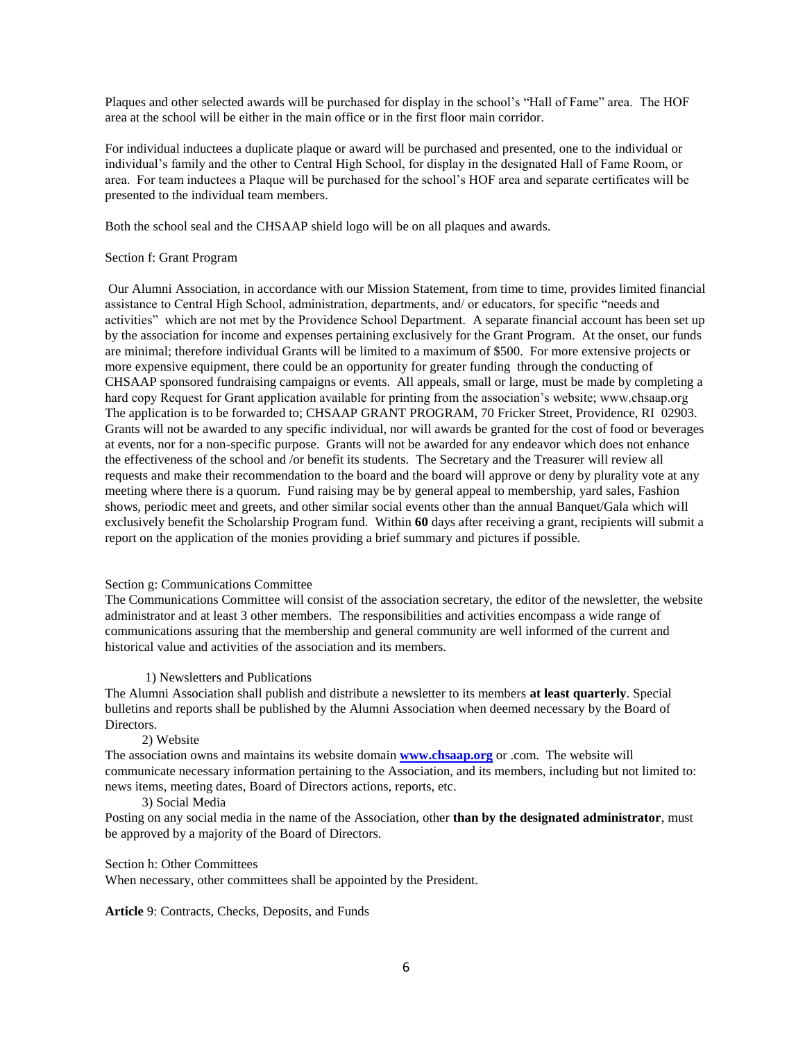Plaques and other selected awards will be purchased for display in the school's "Hall of Fame" area. The HOF area at the school will be either in the main office or in the first floor main corridor.

For individual inductees a duplicate plaque or award will be purchased and presented, one to the individual or individual's family and the other to Central High School, for display in the designated Hall of Fame Room, or area. For team inductees a Plaque will be purchased for the school's HOF area and separate certificates will be presented to the individual team members.

Both the school seal and the CHSAAP shield logo will be on all plaques and awards.

#### Section f: Grant Program

Our Alumni Association, in accordance with our Mission Statement, from time to time, provides limited financial assistance to Central High School, administration, departments, and/ or educators, for specific "needs and activities" which are not met by the Providence School Department. A separate financial account has been set up by the association for income and expenses pertaining exclusively for the Grant Program. At the onset, our funds are minimal; therefore individual Grants will be limited to a maximum of \$500. For more extensive projects or more expensive equipment, there could be an opportunity for greater funding through the conducting of CHSAAP sponsored fundraising campaigns or events. All appeals, small or large, must be made by completing a hard copy Request for Grant application available for printing from the association's website; www.chsaap.org The application is to be forwarded to; CHSAAP GRANT PROGRAM, 70 Fricker Street, Providence, RI 02903. Grants will not be awarded to any specific individual, nor will awards be granted for the cost of food or beverages at events, nor for a non-specific purpose. Grants will not be awarded for any endeavor which does not enhance the effectiveness of the school and /or benefit its students. The Secretary and the Treasurer will review all requests and make their recommendation to the board and the board will approve or deny by plurality vote at any meeting where there is a quorum. Fund raising may be by general appeal to membership, yard sales, Fashion shows, periodic meet and greets, and other similar social events other than the annual Banquet/Gala which will exclusively benefit the Scholarship Program fund. Within **60** days after receiving a grant, recipients will submit a report on the application of the monies providing a brief summary and pictures if possible.

## Section g: Communications Committee

The Communications Committee will consist of the association secretary, the editor of the newsletter, the website administrator and at least 3 other members. The responsibilities and activities encompass a wide range of communications assuring that the membership and general community are well informed of the current and historical value and activities of the association and its members.

#### 1) Newsletters and Publications

The Alumni Association shall publish and distribute a newsletter to its members **at least quarterly**. Special bulletins and reports shall be published by the Alumni Association when deemed necessary by the Board of Directors.

#### 2) Website

The association owns and maintains its website domain **[www.chsaap.org](http://www.chsaap.org/)** or .com. The website will communicate necessary information pertaining to the Association, and its members, including but not limited to: news items, meeting dates, Board of Directors actions, reports, etc.

#### 3) Social Media

Posting on any social media in the name of the Association, other **than by the designated administrator**, must be approved by a majority of the Board of Directors.

#### Section h: Other Committees

When necessary, other committees shall be appointed by the President.

**Article** 9: Contracts, Checks, Deposits, and Funds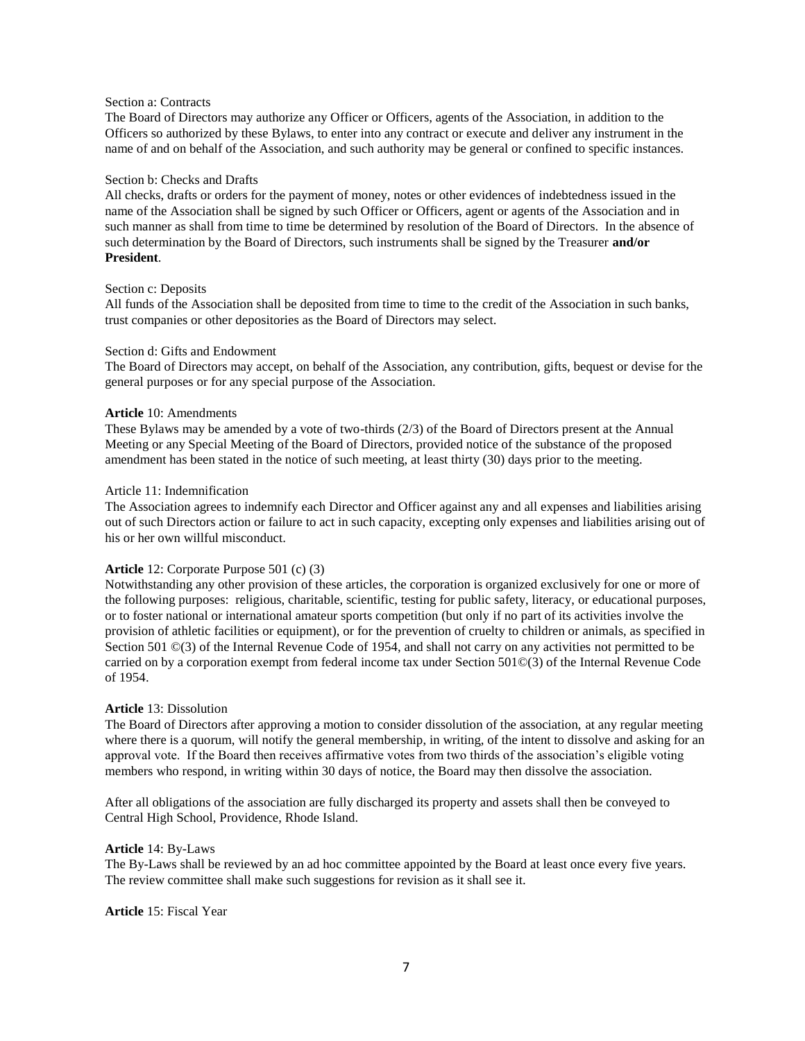# Section a: Contracts

The Board of Directors may authorize any Officer or Officers, agents of the Association, in addition to the Officers so authorized by these Bylaws, to enter into any contract or execute and deliver any instrument in the name of and on behalf of the Association, and such authority may be general or confined to specific instances.

#### Section b: Checks and Drafts

All checks, drafts or orders for the payment of money, notes or other evidences of indebtedness issued in the name of the Association shall be signed by such Officer or Officers, agent or agents of the Association and in such manner as shall from time to time be determined by resolution of the Board of Directors. In the absence of such determination by the Board of Directors, such instruments shall be signed by the Treasurer **and/or President**.

# Section c: Deposits

All funds of the Association shall be deposited from time to time to the credit of the Association in such banks, trust companies or other depositories as the Board of Directors may select.

#### Section d: Gifts and Endowment

The Board of Directors may accept, on behalf of the Association, any contribution, gifts, bequest or devise for the general purposes or for any special purpose of the Association.

## **Article** 10: Amendments

These Bylaws may be amended by a vote of two-thirds (2/3) of the Board of Directors present at the Annual Meeting or any Special Meeting of the Board of Directors, provided notice of the substance of the proposed amendment has been stated in the notice of such meeting, at least thirty (30) days prior to the meeting.

#### Article 11: Indemnification

The Association agrees to indemnify each Director and Officer against any and all expenses and liabilities arising out of such Directors action or failure to act in such capacity, excepting only expenses and liabilities arising out of his or her own willful misconduct.

## **Article** 12: Corporate Purpose 501 (c) (3)

Notwithstanding any other provision of these articles, the corporation is organized exclusively for one or more of the following purposes: religious, charitable, scientific, testing for public safety, literacy, or educational purposes, or to foster national or international amateur sports competition (but only if no part of its activities involve the provision of athletic facilities or equipment), or for the prevention of cruelty to children or animals, as specified in Section 501  $\mathbb{O}(3)$  of the Internal Revenue Code of 1954, and shall not carry on any activities not permitted to be carried on by a corporation exempt from federal income tax under Section 501©(3) of the Internal Revenue Code of 1954.

## **Article** 13: Dissolution

The Board of Directors after approving a motion to consider dissolution of the association, at any regular meeting where there is a quorum, will notify the general membership, in writing, of the intent to dissolve and asking for an approval vote. If the Board then receives affirmative votes from two thirds of the association's eligible voting members who respond, in writing within 30 days of notice, the Board may then dissolve the association.

After all obligations of the association are fully discharged its property and assets shall then be conveyed to Central High School, Providence, Rhode Island.

## **Article** 14: By-Laws

The By-Laws shall be reviewed by an ad hoc committee appointed by the Board at least once every five years. The review committee shall make such suggestions for revision as it shall see it.

**Article** 15: Fiscal Year